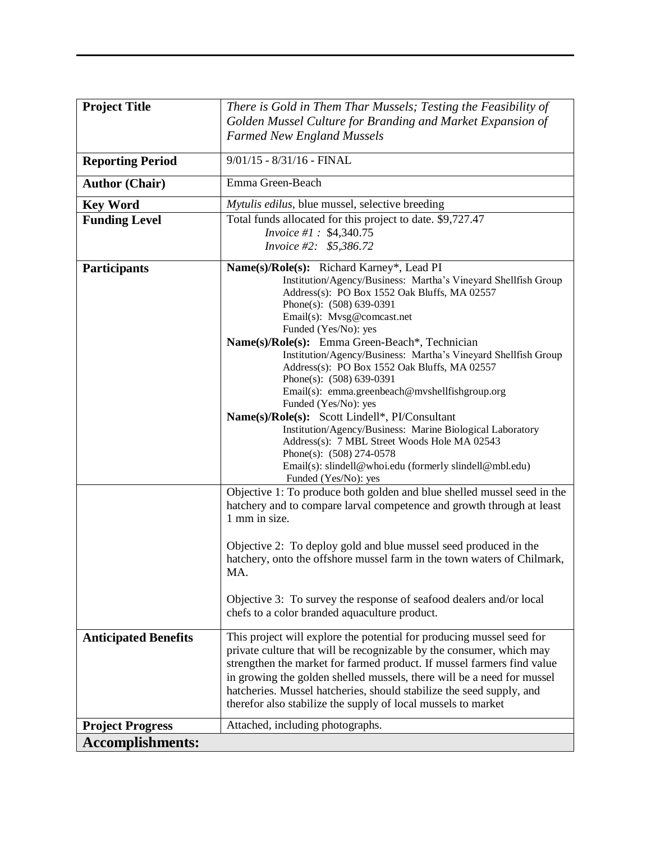| <b>Project Title</b>        | There is Gold in Them Thar Mussels; Testing the Feasibility of                         |  |  |  |  |  |
|-----------------------------|----------------------------------------------------------------------------------------|--|--|--|--|--|
|                             | Golden Mussel Culture for Branding and Market Expansion of                             |  |  |  |  |  |
|                             |                                                                                        |  |  |  |  |  |
|                             | <b>Farmed New England Mussels</b>                                                      |  |  |  |  |  |
| <b>Reporting Period</b>     | $9/01/15 - 8/31/16 - FINAL$                                                            |  |  |  |  |  |
| <b>Author (Chair)</b>       | Emma Green-Beach                                                                       |  |  |  |  |  |
| <b>Key Word</b>             | Mytulis edilus, blue mussel, selective breeding                                        |  |  |  |  |  |
| <b>Funding Level</b>        | Total funds allocated for this project to date. \$9,727.47                             |  |  |  |  |  |
|                             | Invoice #1: \$4,340.75                                                                 |  |  |  |  |  |
|                             | Invoice #2: \$5,386.72                                                                 |  |  |  |  |  |
| <b>Participants</b>         | Name(s)/Role(s): Richard Karney*, Lead PI                                              |  |  |  |  |  |
|                             | Institution/Agency/Business: Martha's Vineyard Shellfish Group                         |  |  |  |  |  |
|                             | Address(s): PO Box 1552 Oak Bluffs, MA 02557                                           |  |  |  |  |  |
|                             | Phone(s): $(508)$ 639-0391                                                             |  |  |  |  |  |
|                             | Email(s): Mvsg@comcast.net                                                             |  |  |  |  |  |
|                             | Funded (Yes/No): yes<br>Name(s)/Role(s): Emma Green-Beach*, Technician                 |  |  |  |  |  |
|                             | Institution/Agency/Business: Martha's Vineyard Shellfish Group                         |  |  |  |  |  |
|                             | Address(s): PO Box 1552 Oak Bluffs, MA 02557                                           |  |  |  |  |  |
|                             | Phone(s): (508) 639-0391                                                               |  |  |  |  |  |
|                             | Email(s): emma.greenbeach@mvshellfishgroup.org                                         |  |  |  |  |  |
|                             | Funded (Yes/No): yes<br>Name(s)/Role(s): Scott Lindell*, PI/Consultant                 |  |  |  |  |  |
|                             | Institution/Agency/Business: Marine Biological Laboratory                              |  |  |  |  |  |
|                             | Address(s): 7 MBL Street Woods Hole MA 02543                                           |  |  |  |  |  |
|                             | Phone(s): $(508)$ 274-0578                                                             |  |  |  |  |  |
|                             | Email(s): slindell@whoi.edu (formerly slindell@mbl.edu)                                |  |  |  |  |  |
|                             | Funded (Yes/No): yes                                                                   |  |  |  |  |  |
|                             | Objective 1: To produce both golden and blue shelled mussel seed in the                |  |  |  |  |  |
|                             | hatchery and to compare larval competence and growth through at least<br>1 mm in size. |  |  |  |  |  |
|                             |                                                                                        |  |  |  |  |  |
|                             | Objective 2: To deploy gold and blue mussel seed produced in the                       |  |  |  |  |  |
|                             | hatchery, onto the offshore mussel farm in the town waters of Chilmark,                |  |  |  |  |  |
|                             | MA.                                                                                    |  |  |  |  |  |
|                             |                                                                                        |  |  |  |  |  |
|                             | Objective 3: To survey the response of seafood dealers and/or local                    |  |  |  |  |  |
|                             | chefs to a color branded aquaculture product.                                          |  |  |  |  |  |
| <b>Anticipated Benefits</b> | This project will explore the potential for producing mussel seed for                  |  |  |  |  |  |
|                             | private culture that will be recognizable by the consumer, which may                   |  |  |  |  |  |
|                             | strengthen the market for farmed product. If mussel farmers find value                 |  |  |  |  |  |
|                             | in growing the golden shelled mussels, there will be a need for mussel                 |  |  |  |  |  |
|                             | hatcheries. Mussel hatcheries, should stabilize the seed supply, and                   |  |  |  |  |  |
|                             | therefor also stabilize the supply of local mussels to market                          |  |  |  |  |  |
| <b>Project Progress</b>     | Attached, including photographs.                                                       |  |  |  |  |  |
| <b>Accomplishments:</b>     |                                                                                        |  |  |  |  |  |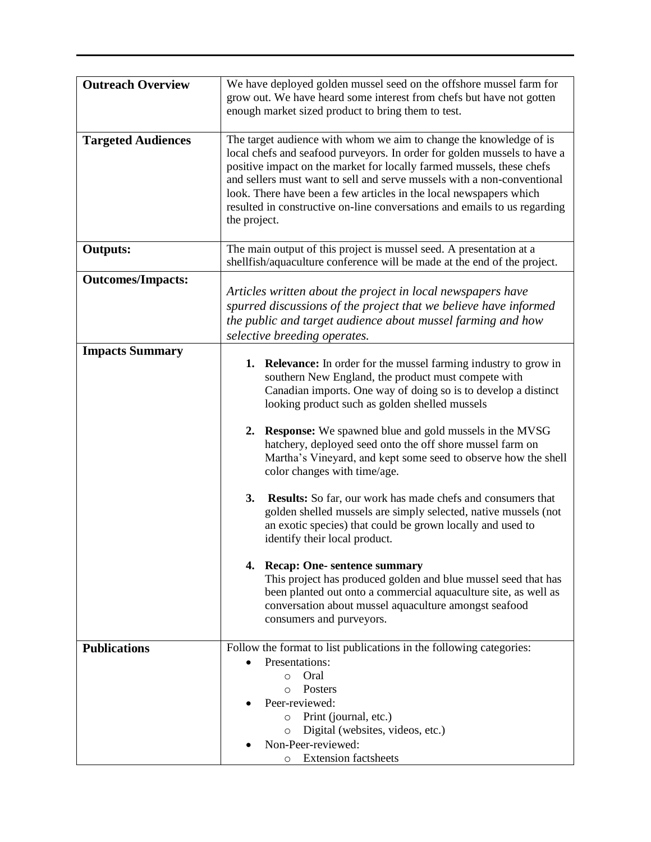| <b>Outreach Overview</b>  | We have deployed golden mussel seed on the offshore mussel farm for<br>grow out. We have heard some interest from chefs but have not gotten<br>enough market sized product to bring them to test.                                                                                                                                                                                                                                                                                                                                                                                                                                                                                                                                                                                                                                                                                                                                                                                                 |  |  |  |  |
|---------------------------|---------------------------------------------------------------------------------------------------------------------------------------------------------------------------------------------------------------------------------------------------------------------------------------------------------------------------------------------------------------------------------------------------------------------------------------------------------------------------------------------------------------------------------------------------------------------------------------------------------------------------------------------------------------------------------------------------------------------------------------------------------------------------------------------------------------------------------------------------------------------------------------------------------------------------------------------------------------------------------------------------|--|--|--|--|
| <b>Targeted Audiences</b> | The target audience with whom we aim to change the knowledge of is<br>local chefs and seafood purveyors. In order for golden mussels to have a<br>positive impact on the market for locally farmed mussels, these chefs<br>and sellers must want to sell and serve mussels with a non-conventional<br>look. There have been a few articles in the local newspapers which<br>resulted in constructive on-line conversations and emails to us regarding<br>the project.                                                                                                                                                                                                                                                                                                                                                                                                                                                                                                                             |  |  |  |  |
| <b>Outputs:</b>           | The main output of this project is mussel seed. A presentation at a<br>shellfish/aquaculture conference will be made at the end of the project.                                                                                                                                                                                                                                                                                                                                                                                                                                                                                                                                                                                                                                                                                                                                                                                                                                                   |  |  |  |  |
| <b>Outcomes/Impacts:</b>  | Articles written about the project in local newspapers have<br>spurred discussions of the project that we believe have informed<br>the public and target audience about mussel farming and how<br>selective breeding operates.                                                                                                                                                                                                                                                                                                                                                                                                                                                                                                                                                                                                                                                                                                                                                                    |  |  |  |  |
| <b>Impacts Summary</b>    | <b>1. Relevance:</b> In order for the mussel farming industry to grow in<br>southern New England, the product must compete with<br>Canadian imports. One way of doing so is to develop a distinct<br>looking product such as golden shelled mussels<br>2. Response: We spawned blue and gold mussels in the MVSG<br>hatchery, deployed seed onto the off shore mussel farm on<br>Martha's Vineyard, and kept some seed to observe how the shell<br>color changes with time/age.<br><b>3.</b><br><b>Results:</b> So far, our work has made chefs and consumers that<br>golden shelled mussels are simply selected, native mussels (not<br>an exotic species) that could be grown locally and used to<br>identify their local product.<br>4. Recap: One- sentence summary<br>This project has produced golden and blue mussel seed that has<br>been planted out onto a commercial aquaculture site, as well as<br>conversation about mussel aquaculture amongst seafood<br>consumers and purveyors. |  |  |  |  |
| <b>Publications</b>       | Follow the format to list publications in the following categories:<br>Presentations:<br>Oral<br>$\circ$<br>Posters<br>$\circ$<br>Peer-reviewed:<br>Print (journal, etc.)<br>$\circ$<br>Digital (websites, videos, etc.)<br>$\circ$<br>Non-Peer-reviewed:<br><b>o</b> Extension factsheets                                                                                                                                                                                                                                                                                                                                                                                                                                                                                                                                                                                                                                                                                                        |  |  |  |  |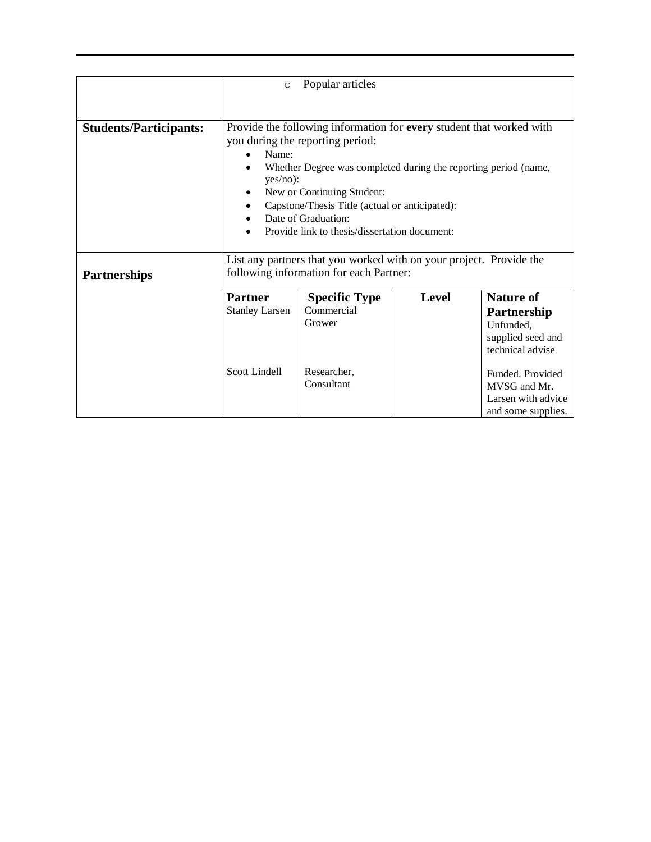|                               | Popular articles<br>$\circ$                                                                                                                                                                                                                                                                                                                                 |                                                                           |              |                                                                                                                                                 |  |  |
|-------------------------------|-------------------------------------------------------------------------------------------------------------------------------------------------------------------------------------------------------------------------------------------------------------------------------------------------------------------------------------------------------------|---------------------------------------------------------------------------|--------------|-------------------------------------------------------------------------------------------------------------------------------------------------|--|--|
|                               |                                                                                                                                                                                                                                                                                                                                                             |                                                                           |              |                                                                                                                                                 |  |  |
| <b>Students/Participants:</b> | Provide the following information for every student that worked with<br>you during the reporting period:<br>Name:<br>Whether Degree was completed during the reporting period (name,<br>$yes/no)$ :<br>New or Continuing Student:<br>Capstone/Thesis Title (actual or anticipated):<br>Date of Graduation:<br>Provide link to thesis/dissertation document: |                                                                           |              |                                                                                                                                                 |  |  |
| <b>Partnerships</b>           | List any partners that you worked with on your project. Provide the<br>following information for each Partner:                                                                                                                                                                                                                                              |                                                                           |              |                                                                                                                                                 |  |  |
|                               | <b>Partner</b><br><b>Stanley Larsen</b><br>Scott Lindell                                                                                                                                                                                                                                                                                                    | <b>Specific Type</b><br>Commercial<br>Grower<br>Researcher,<br>Consultant | <b>Level</b> | <b>Nature of</b><br>Partnership<br>Unfunded,<br>supplied seed and<br>technical advise<br>Funded, Provided<br>MVSG and Mr.<br>Larsen with advice |  |  |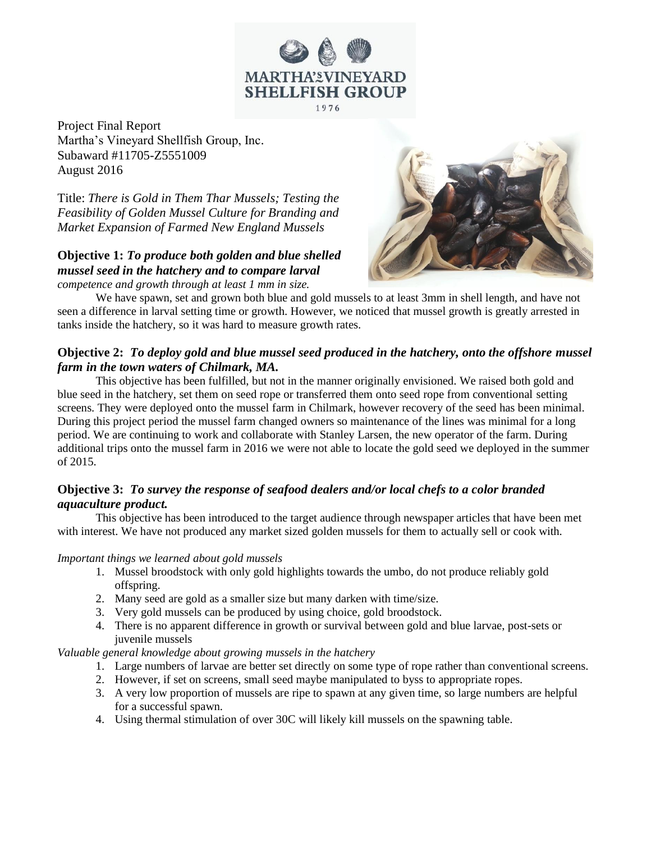

Project Final Report Martha's Vineyard Shellfish Group, Inc. Subaward #11705-Z5551009 August 2016

Title: *There is Gold in Them Thar Mussels; Testing the Feasibility of Golden Mussel Culture for Branding and Market Expansion of Farmed New England Mussels*

# **Objective 1:** *To produce both golden and blue shelled mussel seed in the hatchery and to compare larval*

*competence and growth through at least 1 mm in size.*



We have spawn, set and grown both blue and gold mussels to at least 3mm in shell length, and have not seen a difference in larval setting time or growth. However, we noticed that mussel growth is greatly arrested in tanks inside the hatchery, so it was hard to measure growth rates.

## **Objective 2:** *To deploy gold and blue mussel seed produced in the hatchery, onto the offshore mussel farm in the town waters of Chilmark, MA.*

This objective has been fulfilled, but not in the manner originally envisioned. We raised both gold and blue seed in the hatchery, set them on seed rope or transferred them onto seed rope from conventional setting screens. They were deployed onto the mussel farm in Chilmark, however recovery of the seed has been minimal. During this project period the mussel farm changed owners so maintenance of the lines was minimal for a long period. We are continuing to work and collaborate with Stanley Larsen, the new operator of the farm. During additional trips onto the mussel farm in 2016 we were not able to locate the gold seed we deployed in the summer of 2015.

## **Objective 3:** *To survey the response of seafood dealers and/or local chefs to a color branded aquaculture product.*

This objective has been introduced to the target audience through newspaper articles that have been met with interest. We have not produced any market sized golden mussels for them to actually sell or cook with.

#### *Important things we learned about gold mussels*

- 1. Mussel broodstock with only gold highlights towards the umbo, do not produce reliably gold offspring.
- 2. Many seed are gold as a smaller size but many darken with time/size.
- 3. Very gold mussels can be produced by using choice, gold broodstock.
- 4. There is no apparent difference in growth or survival between gold and blue larvae, post-sets or juvenile mussels

#### *Valuable general knowledge about growing mussels in the hatchery*

- 1. Large numbers of larvae are better set directly on some type of rope rather than conventional screens.
- 2. However, if set on screens, small seed maybe manipulated to byss to appropriate ropes.
- 3. A very low proportion of mussels are ripe to spawn at any given time, so large numbers are helpful for a successful spawn.
- 4. Using thermal stimulation of over 30C will likely kill mussels on the spawning table.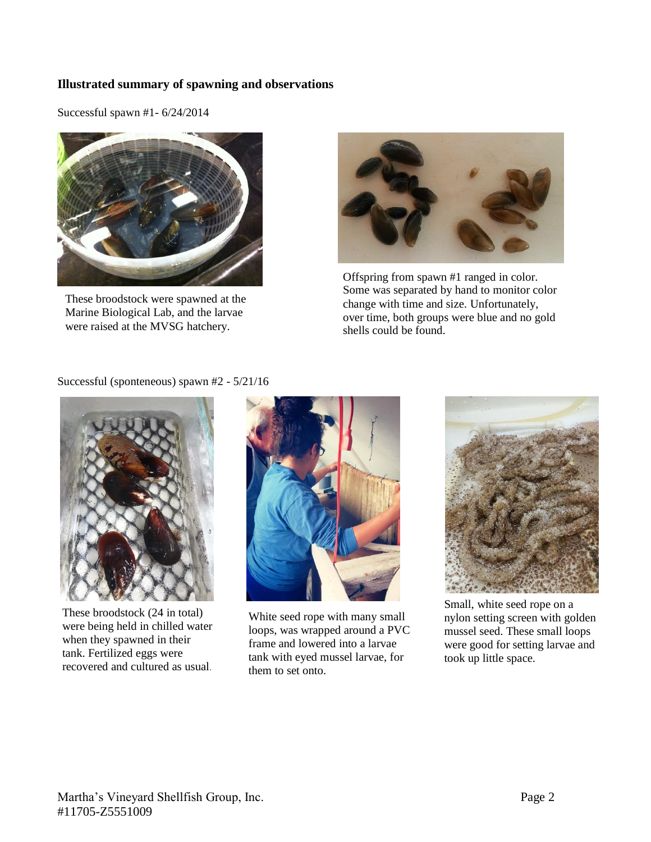### **Illustrated summary of spawning and observations**

Successful spawn #1- 6/24/2014



These broodstock were spawned at the Marine Biological Lab, and the larvae were raised at the MVSG hatchery.



Offspring from spawn #1 ranged in color. Some was separated by hand to monitor color change with time and size. Unfortunately, over time, both groups were blue and no gold shells could be found.

Successful (sponteneous) spawn #2 - 5/21/16



These broodstock (24 in total) were being held in chilled water when they spawned in their tank. Fertilized eggs were recovered and cultured as usual*.*



White seed rope with many small loops, was wrapped around a PVC frame and lowered into a larvae tank with eyed mussel larvae, for them to set onto.



Small, white seed rope on a nylon setting screen with golden mussel seed. These small loops were good for setting larvae and took up little space.